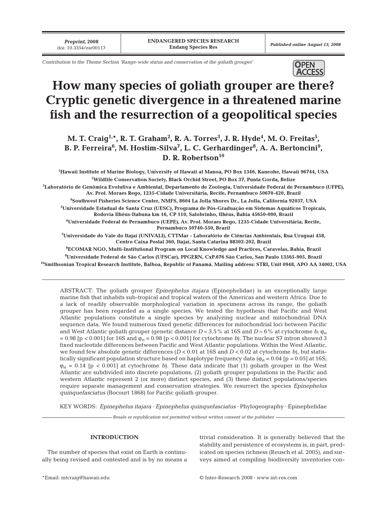*Preprint***, 2008**

*Contribution to the Theme Section 'Range-wide status and conservation of the goliath grouper'*



# **How many species of goliath grouper are there? Cryptic genetic divergence in a threatened marine fish and the resurrection of a geopolitical species**

M. T. Craig<sup>1,</sup>\*, R. T. Graham<sup>2</sup>, R. A. Torres<sup>3</sup>, J. R. Hyde<sup>4</sup>, M. O. Freitas<sup>5</sup>, B. P. Ferreira $^6$ , M. Hostim-Silva<sup>7</sup>, L. C. Gerhardinger $^8$ , A. A. Bertoncini $^9$ , D. R. Robertson<sup>10</sup>

 **Hawaii Institute of Marine Biology, University of Hawaii at Manoa, PO Box 1346, Kaneohe, Hawaii 96744, USA Wildlife Conservation Society, Black Orchid Street, PO Box 37, Punta Gorda, Belize Laboratório de Genômica Evolutiva e Ambiental, Departamento de Zoologia, Universidade Federal de Pernambuco (UFPE), Av. Prof. Moraes Rego, 1235-Cidade Universitária, Recife, Pernambuco 50670-420, Brazil Southwest Fisheries Science Center, NMFS, 8604 La Jolla Shores Dr., La Jolla, California 92037, USA Universidade Estadual de Santa Cruz (UESC), Programa de Pós-Graduação em Sistemas Aquáticos Tropicais, Rodovia Ilhéus-Itabuna km 16, CP 110, Salobrinho, Ilhéus, Bahia 45650-000, Brazil Universidade Federal de Pernambuco (UEPE), Av. Prof. Moraes Rego, 1235-Cidade Universitária, Recife, Pernambuco 50740-550, Brazil**

**7 Universidade do Vale do Itajaí (UNIVALI), CTTMar - Laboratório de Ciências Ambientais, Rua Uruguai 458, Centro Caixa Postal 360, Itajaí, Santa Catarina 88302-202, Brazil**

**8 ECOMAR NGO, Multi-Institutional Program on Local Knowledge and Practices, Caravelas, Bahia, Brazil 9 Universidade Federal de São Carlos (UFSCar), PPGERN, CxP.676 São Carlos, San Paulo 13565-905, Brazil 10Smithsonian Tropical Research Institute, Balboa, Republic of Panamá. Mailing address: STRI, Unit 0948, APO AA 34002, USA**

ABSTRACT: The goliath grouper *Epinephelus itajara* (Epinephelidae) is an exceptionally large marine fish that inhabits sub-tropical and tropical waters of the Americas and western Africa. Due to a lack of readily observable morphological variation in specimens across its range, the goliath grouper has been regarded as a single species. We tested the hypothesis that Pacific and West Atlantic populations constitute a single species by analyzing nuclear and mitochondrial DNA sequence data. We found numerous fixed genetic differences for mitochondrial loci between Pacific and West Atlantic goliath grouper (genetic distance  $D \approx 3.5\%$  at 16S and  $D \approx 6\%$  at cytochrome *b*;  $\varphi_{st}$ = 0.98 [p *<* 0.001] for 16S and ϕst = 0.98 [p *<* 0.001] for cytochrome *b*). The nuclear S7 intron showed 3 fixed nucleotide differences between Pacific and West Atlantic populations. Within the West Atlantic, we found few absolute genetic differences (*D* < 0.01 at 16S and *D* < 0.02 at cytochrome *b*), but statistically significant population structure based on haplotype frequency data ( $\varphi_{st} = 0.04$  [p = 0.05] at 16S;  $\varphi_{st} = 0.14$  [p < 0.001] at cytochrome *b*). These data indicate that (1) goliath grouper in the West Atlantic are subdivided into discrete populations, (2) goliath grouper populations in the Pacific and western Atlantic represent 2 (or more) distinct species, and (3) these distinct populations/species require separate management and conservation strategies. We resurrect the species *Epinephelus quinquefasciatus* (Bocourt 1868) for Pacific goliath grouper.

KEY WORDS: *Epinephelus itajara* · *Epinephelus quinquefasciatus* · Phylogeography · Epinephelidae

*Resale or republication not permitted without written consent of the publisher*

# **INTRODUCTION**

The number of species that exist on Earth is continually being revised and contested and is by no means a trivial consideration. It is generally believed that the stability and persistence of ecosystems is, in part, predicated on species richness (Reusch et al. 2005), and surveys aimed at compiling biodiversity inventories con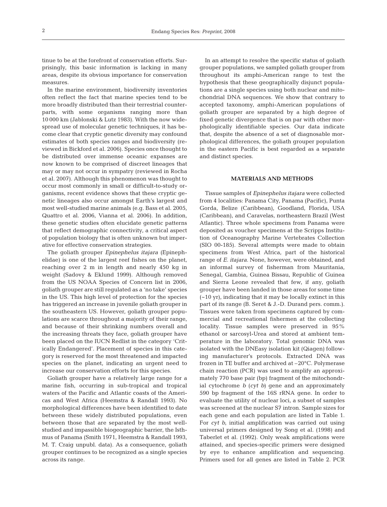tinue to be at the forefront of conservation efforts. Surprisingly, this basic information is lacking in many areas, despite its obvious importance for conservation measures.

In the marine environment, biodiversity inventories often reflect the fact that marine species tend to be more broadly distributed than their terrestrial counterparts, with some organisms ranging more than 10 000 km (Jablonski & Lutz 1983). With the now widespread use of molecular genetic techniques, it has become clear that cryptic genetic diversity may confound estimates of both species ranges and biodiversity (reviewed in Bickford et al. 2006). Species once thought to be distributed over immense oceanic expanses are now known to be comprised of discreet lineages that may or may not occur in sympatry (reviewed in Rocha et al. 2007). Although this phenomenon was thought to occur most commonly in small or difficult-to-study organisms, recent evidence shows that these cryptic genetic lineages also occur amongst Earth's largest and most well-studied marine animals (e.g. Bass et al. 2005, Quattro et al. 2006, Vianna et al. 2006). In addition, these genetic studies often elucidate genetic patterns that reflect demographic connectivity, a critical aspect of population biology that is often unknown but imperative for effective conservation strategies.

The goliath grouper *Epinephelus itajara* (Epinephelidae) is one of the largest reef fishes on the planet, reaching over 2 m in length and nearly 450 kg in weight (Sadovy & Eklund 1999). Although removed from the US NOAA Species of Concern list in 2006, goliath grouper are still regulated as a 'no take' species in the US. This high level of protection for the species has triggered an increase in juvenile goliath grouper in the southeastern US. However, goliath grouper populations are scarce throughout a majority of their range, and because of their shrinking numbers overall and the increasing threats they face, goliath grouper have been placed on the IUCN Redlist in the category 'Critically Endangered'. Placement of species in this category is reserved for the most threatened and impacted species on the planet, indicating an urgent need to increase our conservation efforts for this species.

Goliath grouper have a relatively large range for a marine fish, occurring in sub-tropical and tropical waters of the Pacific and Atlantic coasts of the Americas and West Africa (Heemstra & Randall 1993). No morphological differences have been identified to date between these widely distributed populations, even between those that are separated by the most wellstudied and impassible biogeographic barrier, the Isthmus of Panama (Smith 1971, Heemstra & Randall 1993, M. T. Craig unpubl. data). As a consequence, goliath grouper continues to be recognized as a single species across its range.

In an attempt to resolve the specific status of goliath grouper populations, we sampled goliath grouper from throughout its amphi-American range to test the hypothesis that these geographically disjunct populations are a single species using both nuclear and mitochondrial DNA sequences. We show that contrary to accepted taxonomy, amphi-American populations of goliath grouper are separated by a high degree of fixed genetic divergence that is on par with other morphologically identifiable species. Our data indicate that, despite the absence of a set of diagnosable morphological differences, the goliath grouper population in the eastern Pacific is best regarded as a separate and distinct species.

### **MATERIALS AND METHODS**

Tissue samples of *Epinephelus itajara* were collected from 4 localities: Panama City, Panama (Pacific), Punta Gorda, Belize (Caribbean), Goodland, Florida, USA (Caribbean), and Caravelas, northeastern Brazil (West Atlantic). Three whole specimens from Panama were deposited as voucher specimens at the Scripps Institution of Oceanography Marine Vertebrates Collection (SIO 00-185). Several attempts were made to obtain specimens from West Africa, part of the historical range of *E. itajara*. None, however, were obtained, and an informal survey of fisherman from Mauritania, Senegal, Gambia, Guinea Bissau, Republic of Guinea and Sierra Leone revealed that few, if any, goliath grouper have been landed in those areas for some time (~10 yr), indicating that it may be locally extinct in this part of its range (B. Seret & J.-D. Durand pers. comm.). Tissues were taken from specimens captured by commercial and recreational fishermen at the collecting locality. Tissue samples were preserved in 95% ethanol or sarcosyl-Urea and stored at ambient temperature in the laboratory. Total genomic DNA was isolated with the DNEasy isolation kit (Qiagen) following manufacturer's protocols. Extracted DNA was frozen in TE buffer and archived at –20°C. Polymerase chain reaction (PCR) was used to amplify an approximately 770 base pair (bp) fragment of the mitochondrial cytochrome *b* (*cyt b*) gene and an approximately 590 bp fragment of the 16S rRNA gene. In order to evaluate the utility of nuclear loci, a subset of samples was screened at the nuclear S7 intron. Sample sizes for each gene and each population are listed in Table 1. For *cyt b*, initial amplification was carried out using universal primers designed by Song et al. (1998) and Taberlet et al. (1992). Only weak amplifications were attained, and species-specific primers were designed by eye to enhance amplification and sequencing. Primers used for all genes are listed in Table 2. PCR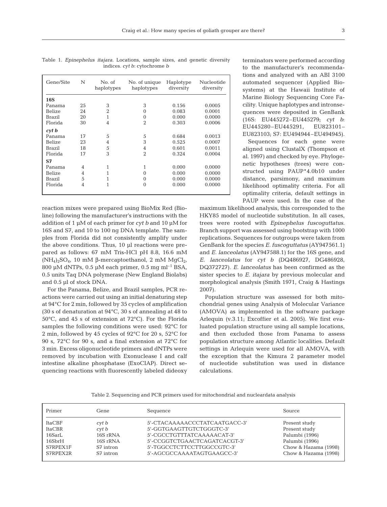| N<br>Gene/Site |                | No. of<br>haplotypes | No. of unique<br>haplotypes | Haplotype<br>diversity | Nucleotide<br>diversity |  |
|----------------|----------------|----------------------|-----------------------------|------------------------|-------------------------|--|
| <b>16S</b>     |                |                      |                             |                        |                         |  |
| Panama         | 25             | 3                    | 3                           | 0.156                  | 0.0005                  |  |
| Belize         | 24             | $\overline{2}$       | $\Omega$                    | 0.083                  | 0.0001                  |  |
| Brazil         | 20             | 1                    | $\Omega$                    | 0.000                  | 0.0000                  |  |
| Florida        | 30             | $\overline{4}$       | $\overline{2}$              | 0.303                  | 0.0006                  |  |
| $\int$ cyt b   |                |                      |                             |                        |                         |  |
| Panama         | 17             | 5                    | 5                           | 0.684                  | 0.0013                  |  |
| Belize         | 23             | 4                    | 3                           | 0.525                  | 0.0007                  |  |
| Brazil         | 18             | 5                    | 4                           | 0.601                  | 0.0011                  |  |
| Florida        | 17             | 3                    | $\overline{2}$              | 0.324                  | 0.0004                  |  |
| <b>S7</b>      |                |                      |                             |                        |                         |  |
| Panama         | 4              | 1                    | 1                           | 0.000                  | 0.0000                  |  |
| Belize         | 4              | 1                    | $\Omega$                    | 0.000                  | 0.0000                  |  |
| Brazil         | 5              |                      | $\Omega$                    | 0.000                  | 0.0000                  |  |
| Florida        | $\overline{4}$ | 1                    | $\Omega$                    | 0.000                  | 0.0000                  |  |
|                |                |                      |                             |                        |                         |  |

Table 1. *Epinephelus itajara.* Locations, sample sizes, and genetic diversity indices. *cyt b*: cytochrome *b*

reaction mixes were prepared using BioMix Red (Bioline) following the manufacturer's instructions with the addition of 1 µM of each primer for *cyt b* and 10 µM for 16S and S7, and 10 to 100 ng DNA template. The samples from Florida did not consistently amplify under the above conditions. Thus, 10 µl reactions were prepared as follows: 67 mM Tris-HCl pH 8.8, 16.6 mM (NH<sub>4</sub>)<sub>2</sub>SO<sub>4</sub>, 10 mM β-mercaptoethanol, 2 mM MqCl<sub>2</sub>, 800 µM dNTPs, 0.5 µM each primer, 0.5 mg ml<sup>-1</sup> BSA, 0.5 units Taq DNA polymerase (New England Biolabs) and 0.5 µl of stock DNA.

For the Panama, Belize, and Brazil samples, PCR reactions were carried out using an initial denaturing step at 94°C for 2 min, followed by 35 cycles of amplification (30 s of denaturation at 94°C, 30 s of annealing at 48 to 50°C, and 45 s of extension at 72°C). For the Florida samples the following conditions were used: 92°C for 2 min, followed by 45 cycles of 92°C for 20 s, 52°C for 90 s, 72°C for 90 s, and a final extension at 72°C for 3 min. Excess oligonucleotide primers and dNTPs were removed by incubation with Exonuclease I and calf intestine alkaline phosphatase (ExoCIAP). Direct sequencing reactions with fluorescently labeled dideoxy terminators were performed according to the manufacturer's recommendations and analyzed with an ABI 3100 automated sequencer (Applied Biosystems) at the Hawaii Institute of Marine Biology Sequencing Core Facility. Unique haplotypes and intronsequences were deposited in GenBank (16S: EU445272–EU445279; *cyt b*: EU445280–EU445291, EU823101– EU823103; S7: EU494944–EU494945).

Sequences for each gene were aligned using ClustalX (Thompson et al. 1997) and checked by eye. Phylogenetic hypotheses (trees) were constructed using PAUP\*4.0b10 under distance, parsimony, and maximum likelihood optimality criteria. For all optimality criteria, default settings in PAUP were used. In the case of the

maximum likelihood analysis, this corresponded to the HKY85 model of nucleotide substitution. In all cases, trees were rooted with *Epinephelus fuscoguttatus*. Branch support was assessed using bootstrap with 1000 replications. Sequences for outgroups were taken from GenBank for the species *E. fuscoguttatus* (AY947561.1) and *E. lanceolatus* (AY947588.1) for the 16S gene, and *E. lanceolatus* for *cyt b* (DQ486927, DG486928, DQ372727). *E. lanceolatus* has been confirmed as the sister species to *E. itajara* by previous molecular and morphological analysis (Smith 1971, Craig & Hastings 2007).

Population structure was assessed for both mitochondrial genes using Analysis of Molecular Variance (AMOVA) as implemented in the software package Arlequin (v.3.11; Excoffier et al. 2005). We first evaluated population structure using all sample locations, and then excluded those from Panama to assess population structure among Atlantic localities. Default settings in Arlequin were used for all AMOVA, with the exception that the Kimura 2 parameter model of nucleotide substitution was used in distance calculations.

Table 2. Sequencing and PCR primers used for mitochondrial and nucleardata analysis

| Primer<br>Gene |                 | Sequence                      | Source               |  |  |
|----------------|-----------------|-------------------------------|----------------------|--|--|
| ItaCBF         | $\,$ c $Vt$ $b$ | 5'-CTACAAAAACCCTATCAATGACC-3' | Present study        |  |  |
| ItaCBR         | $\,$ c $Vt$ $b$ | 5'-GGTGAAGTTGTCTGGGTC-3'      | Present study        |  |  |
| 16Sarl         | 16S rRNA        | 5'-CGCCTGTTTATCAAAAACAT-3'    | Palumbi (1996)       |  |  |
| 16SbrH         | 16S rRNA        | 5'-CCGGTCTGAACTCAGATCACGT-3'  | Palumbi (1996)       |  |  |
| S7RPFX1F       | S7 intron       | 5'-TGGCCTCTTCCTTGGCCGTC-3'    | Chow & Hazama (1998) |  |  |
| S7RPEX2R       | S7 intron       | 5'-AGCGCCAAAATAGTGAAGCC-3'    | Chow & Hazama (1998) |  |  |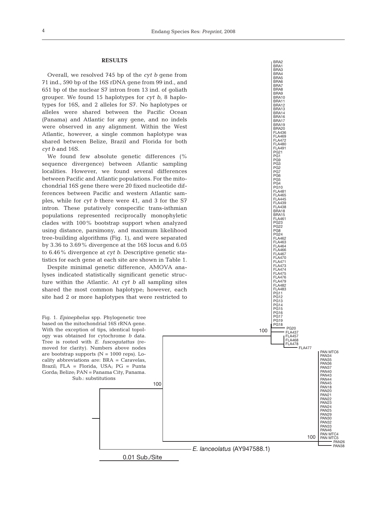BRA2 BRA<sub>1</sub> BRA3 BRA4 BRA<sub>5</sub> BRA6 BRA7 BRA8 BRA9<br>BRA10 BRA10 BRA11 BRA12 BRA13 BRA14 BRA16 BRA17 BRA19 BRA20 FLA436 FLA469 FLA472 FLA480 FLA491 PG21 PG1 PG9 PG3 PG2 PG7 PG6 PG5 PG4 PG10 FLA481 FLA465 FLA445 FLA439 FLA438 BRA18 BRA15 FLA461 PG23 PG22 PG8 PG24 FLA462 FLA463 FLA464 FLA466 FLA467 FLA470 FLA471 FLA473 FLA474 FLA475 FLA476 FLA479 FLA482 FLA483 PG11 PG12

PG13 PG14 PG15 PG16 PG17 PG19 PG18

100

PG20 FLA437 FLA457 FLA468 **FLA478** 

FLA477

PAN MTC6

## **RESULTS**

Overall, we resolved 745 bp of the *cyt b* gene from 71 ind., 590 bp of the 16S rDNA gene from 99 ind., and 651 bp of the nuclear S7 intron from 13 ind. of goliath grouper. We found 15 haplotypes for *cyt b*, 8 haplotypes for 16S, and 2 alleles for S7. No haplotypes or alleles were shared between the Pacific Ocean (Panama) and Atlantic for any gene, and no indels were observed in any alignment. Within the West Atlantic, however, a single common haplotype was shared between Belize, Brazil and Florida for both *cyt b* and 16S.

We found few absolute genetic differences (% sequence divergence) between Atlantic sampling localities. However, we found several differences between Pacific and Atlantic populations. For the mitochondrial 16S gene there were 20 fixed nucleotide differences between Pacific and western Atlantic samples, while for *cyt b* there were 41, and 3 for the S7 intron. These putatively conspecific trans-isthmian populations represented reciprocally monophyletic clades with 100% bootstrap support when analyzed using distance, parsimony, and maximum likelihood tree-building algorithms (Fig. 1), and were separated by 3.36 to 3.69% divergence at the 16S locus and 6.05 to 6.46% divergence at *cyt b*. Descriptive genetic statistics for each gene at each site are shown in Table 1.

Despite minimal genetic difference, AMOVA analyses indicated statistically significant genetic structure within the Atlantic. At *cyt b* all sampling sites shared the most common haplotype; however, each site had 2 or more haplotypes that were restricted to

Fig. 1. *Epinephelus* spp. Phylogenetic tree based on the mitochondrial 16S rRNA gene. With the exception of tips, identical topology was obtained for cytochrome *b* data. Tree is rooted with *E. fuscogutattus* (removed for clarity). Numbers above nodes are bootstrap supports  $(N = 1000$  reps). Locality abbreviations are: BRA = Caravelas, Brazil; FLA = Florida, USA; PG = Punta Gorda; Belize; PAN = Panama City, Panama. Sub.: substitutions

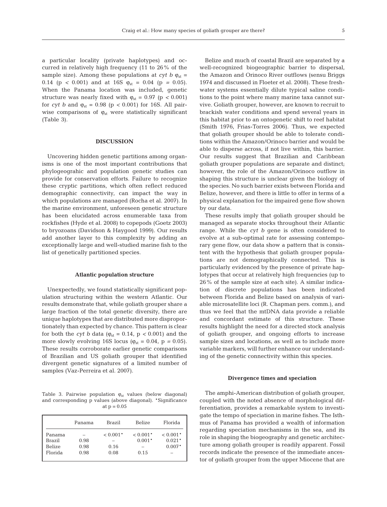a particular locality (private haplotypes) and occurred in relatively high frequency (11 to 26% of the sample size). Among these populations at  $cyt b \varphi_{st} =$ 0.14 (p < 0.001) and at 16S  $\varphi_{st} = 0.04$  (p = 0.05). When the Panama location was included, genetic structure was nearly fixed with  $\varphi_{st} = 0.97$  (p < 0.001) for *cyt b* and  $φ_{st} = 0.98$  ( $p < 0.001$ ) for 16S. All pairwise comparisons of  $\varphi_{st}$  were statistically significant (Table 3).

## **DISCUSSION**

Uncovering hidden genetic partitions among organisms is one of the most important contributions that phylogeograhic and population genetic studies can provide for conservation efforts. Failure to recognize these cryptic partitions, which often reflect reduced demographic connectivity, can impact the way in which populations are managed (Rocha et al. 2007). In the marine environment, unforeseen genetic structure has been elucidated across enumerable taxa from rockfishes (Hyde et al. 2008) to copepods (Goetz 2003) to bryozoans (Davidson & Haygood 1999). Our results add another layer to this complexity by adding an exceptionally large and well-studied marine fish to the list of genetically partitioned species.

#### **Atlantic population structure**

Unexpectedly, we found statistically significant population structuring within the western Atlantic. Our results demonstrate that, while goliath grouper share a large fraction of the total genetic diversity, there are unique haplotypes that are distributed more disproportionately than expected by chance. This pattern is clear for both the *cyt b* data ( $\varphi_{st} = 0.14$ ,  $p < 0.001$ ) and the more slowly evolving 16S locus ( $\varphi_{st} = 0.04$ ,  $p = 0.05$ ). These results corroborate earlier genetic comparisons of Brazilian and US goliath grouper that identified divergent genetic signatures of a limited number of samples (Vaz-Perreira et al. 2007).

Table 3. Pairwise population  $\varphi_{st}$  values (below diagonal) and corresponding p values (above diagonal). \*Significance at  $p = 0.05$ 

|                         | Panama | Brazil     | Belize                 | Florida                |
|-------------------------|--------|------------|------------------------|------------------------|
| Panama<br><b>Brazil</b> | 0.98   | $< 0.001*$ | $< 0.001*$<br>$0.001*$ | $< 0.001*$<br>$0.021*$ |
| <b>Belize</b>           | 0.98   | 0.16       |                        | $0.007*$               |
| Florida                 | 0.98   | 0.08       | 0.15                   |                        |

Belize and much of coastal Brazil are separated by a well-recognized biogeographic barrier to dispersal, the Amazon and Orinoco River outflows (sensu Briggs 1974 and discussed in Floeter et al. 2008). These freshwater systems essentially dilute typical saline conditions to the point where many marine taxa cannot survive. Goliath grouper, however, are known to recruit to brackish water conditions and spend several years in this habitat prior to an ontogenetic shift to reef habitat (Smith 1976, Frias-Torres 2006). Thus, we expected that goliath grouper should be able to tolerate conditions within the Amazon/Orinoco barrier and would be able to disperse across, if not live within, this barrier. Our results suggest that Brazilian and Caribbean goliath grouper populations are separate and distinct; however, the role of the Amazon/Orinoco outflow in shaping this structure is unclear given the biology of the species. No such barrier exists between Florida and Belize, however, and there is little to offer in terms of a physical explanation for the impaired gene flow shown by our data.

These results imply that goliath grouper should be managed as separate stocks throughout their Atlantic range. While the *cyt b* gene is often considered to evolve at a sub-optimal rate for assessing contemporary gene flow, our data show a pattern that is consistent with the hypothesis that goliath grouper populations are not demographically connected. This is particularly evidenced by the presence of private haplotypes that occur at relatively high frequencies (up to 26% of the sample size at each site). A similar indication of discrete populations has been indicated between Florida and Belize based on analysis of variable microsatellite loci (R. Chapman pers. comm.), and thus we feel that the mtDNA data provide a reliable and concordant estimate of this structure. These results highlight the need for a directed stock analysis of goliath grouper, and ongoing efforts to increase sample sizes and locations, as well as to include more variable markers, will further enhance our understanding of the genetic connectivity within this species.

#### **Divergence times and speciation**

The amphi-American distribution of goliath grouper, coupled with the noted absence of morphological differentiation, provides a remarkable system to investigate the tempo of speciation in marine fishes. The Isthmus of Panama has provided a wealth of information regarding speciation mechanisms in the sea, and its role in shaping the biogeography and genetic architecture among goliath grouper is readily apparent. Fossil records indicate the presence of the immediate ancestor of goliath grouper from the upper Miocene that are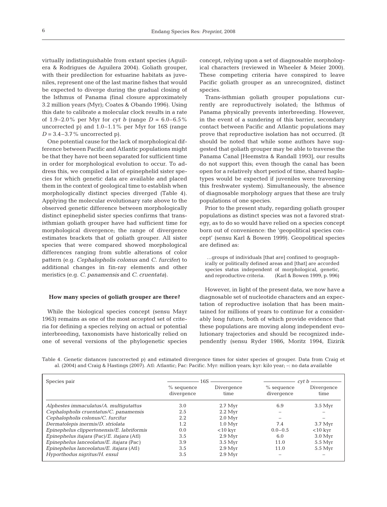virtually indistinguishable from extant species (Aguilera & Rodrigues de Aguilera 2004). Goliath grouper, with their predilection for estuarine habitats as juveniles, represent one of the last marine fishes that would be expected to diverge during the gradual closing of the Isthmus of Panama (final closure approximately 3.2 million years (Myr); Coates & Obando 1996). Using this date to calibrate a molecular clock results in a rate of 1.9–2.0% per Myr for *cyt b* (range  $D = 6.0-6.5$ %) uncorrected p) and 1.0–1.1% per Myr for 16S (range  $D = 3.4 - 3.7\%$  uncorrected p).

One potential cause for the lack of morphological difference between Pacific and Atlantic populations might be that they have not been separated for sufficient time in order for morphological evolution to occur. To address this, we compiled a list of epinephelid sister species for which genetic data are available and placed them in the context of geological time to establish when morphologically distinct species diverged (Table 4). Applying the molecular evolutionary rate above to the observed genetic difference between morphologically distinct epinephelid sister species confirms that transisthmian goliath grouper have had sufficient time for morphological divergence; the range of divergence estimates brackets that of goliath grouper. All sister species that were compared showed morphological differences ranging from subtle alterations of color pattern (e.g. *Cephalopholis colonus* and *C. furcifer*) to additional changes in fin-ray elements and other meristics (e.g. *C. panamensis* and *C. cruentata*).

# **How many species of goliath grouper are there?**

While the biological species concept (sensu Mayr 1963) remains as one of the most accepted set of criteria for defining a species relying on actual or potential interbreeding, taxonomists have historically relied on one of several versions of the phylogenetic species concept, relying upon a set of diagnosable morphological characters (reviewed in Wheeler & Meier 2000). These competing criteria have conspired to leave Pacific goliath grouper as an unrecognized, distinct species.

Trans-isthmian goliath grouper populations currently are reproductively isolated; the Isthmus of Panama physically prevents interbreeding. However, in the event of a sundering of this barrier, secondary contact between Pacific and Atlantic populations may prove that reproductive isolation has not occurred. (It should be noted that while some authors have suggested that goliath grouper may be able to traverse the Panama Canal [Heemstra & Randall 1993], our results do not support this; even though the canal has been open for a relatively short period of time, shared haplotypes would be expected if juveniles were traversing this freshwater system). Simultaneously, the absence of diagnosable morphology argues that these are truly populations of one species.

Prior to the present study, regarding goliath grouper populations as distinct species was not a favored strategy, as to do so would have relied on a species concept born out of convenience: the 'geopolitical species concept' (sensu Karl & Bowen 1999). Geopolitical species are defined as:

…groups of individuals [that are] confined to geographically or politically defined areas and [that] are accorded species status independent of morphological, genetic, and reproductive criteria. (Karl & Bowen 1999, p. 996)

However, in light of the present data, we now have a diagnosable set of nucleotide characters and an expectation of reproductive isolation that has been maintained for millions of years to continue for a considerably long future, both of which provide evidence that these populations are moving along independent evolutionary trajectories and should be recognized independently (sensu Ryder 1986, Moritz 1994, Eizirik

|  |  |  |  | Table 4. Genetic distances (uncorrected p) and estimated divergence times for sister species of grouper. Data from Craig et                |  |  |  |  |  |
|--|--|--|--|--------------------------------------------------------------------------------------------------------------------------------------------|--|--|--|--|--|
|  |  |  |  | al. (2004) and Craig & Hastings (2007). Atl: Atlantic; Pac: Pacific. Myr: million years; kyr: kilo year; $\rightarrow$ : no data available |  |  |  |  |  |

| Species pair                               | 16S                        |                     |                            | cyt b               |  |  |  |
|--------------------------------------------|----------------------------|---------------------|----------------------------|---------------------|--|--|--|
|                                            | $%$ sequence<br>divergence | Divergence<br>time  | $%$ sequence<br>divergence | Divergence<br>time  |  |  |  |
| Alphestes immaculatus/A. multiqutattus     | 3.0                        | $2.7$ Myr           | 6.9                        | $3.5\ \mathrm{Myr}$ |  |  |  |
| Cephalopholis cruentatus/C. panamensis     | 2.5                        | $2.2$ Myr           |                            |                     |  |  |  |
| Cephalopholis colonus/C. furcifur          | 2.2                        | $2.0\ \mathrm{Myr}$ |                            |                     |  |  |  |
| Dermatolepis inermis/D. striolata          | 1.2                        | $1.0\ \mathrm{Myr}$ | 7.4                        | $3.7 \mathrm{Myr}$  |  |  |  |
| Epinephelus clippertonensis/E. labriformis | 0.0                        | $<$ 10 kvr          | $0.0 - 0.5$                | $<$ 10 kyr          |  |  |  |
| Epinephelus itajara (Pac)/E. itajara (Atl) | 3.5                        | $2.9$ Myr           | 6.0                        | $3.0\ \mathrm{Myr}$ |  |  |  |
| Epinephelus lanceolatus/E. itajara (Pac)   | 3.9                        | $3.5\ \mathrm{Myr}$ | 11.0                       | $5.5$ Myr           |  |  |  |
| Epinephelus lanceolatus/E. itajara (Atl)   | 3.5                        | $2.9$ Myr           | 11.0                       | $5.5$ Myr           |  |  |  |
| Hyporthodus nigritus/H. exsul              | 3.5                        | $2.9\ \mathrm{Myr}$ |                            |                     |  |  |  |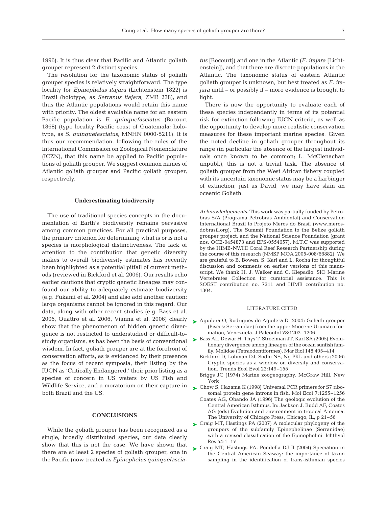1996). It is thus clear that Pacific and Atlantic goliath grouper represent 2 distinct species.

The resolution for the taxonomic status of goliath grouper species is relatively straightforward. The type locality for *Epinephelus itajara* (Lichtenstein 1822) is Brazil (holotype, as *Serranus itajara,* ZMB 238), and thus the Atlantic populations would retain this name with priority. The oldest available name for an eastern Pacific population is *E. quinquefasciatus* (Bocourt 1868) (type locality Pacific coast of Guatemala; holotype, as *S. quinquefasciatus,* MNHN 0000-5211). It is thus our recommendation, following the rules of the International Commission on Zoological Nomenclature (ICZN), that this name be applied to Pacific populations of goliath grouper. We suggest common names of Atlantic goliath grouper and Pacific goliath grouper, respectively.

# **Underestimating biodiversity**

The use of traditional species concepts in the documentation of Earth's biodiversity remains pervasive among common practices. For all practical purposes, the primary criterion for determining what is or is not a species is morphological distinctiveness. The lack of attention to the contribution that genetic diversity makes to overall biodiversity estimates has recently been highlighted as a potential pitfall of current methods (reviewed in Bickford et al. 2006). Our results echo earlier cautions that cryptic genetic lineages may confound our ability to adequately estimate biodiversity (e.g. Fukami et al. 2004) and also add another caution: large organisms cannot be ignored in this regard. Our data, along with other recent studies (e.g. Bass et al. 2005, Quattro et al. 2006, Vianna et al. 2006) clearly show that the phenomenon of hidden genetic divergence is not restricted to understudied or difficult-tostudy organisms, as has been the basis of conventional wisdom. In fact, goliath grouper are at the forefront of conservation efforts, as is evidenced by their presence as the focus of recent symposia, their listing by the IUCN as 'Critically Endangered,' their prior listing as a species of concern in US waters by US Fish and Wildlife Service, and a moratorium on their capture in both Brazil and the US.

## **CONCLUSIONS**

While the goliath grouper has been recognized as a single, broadly distributed species, our data clearly show that this is not the case. We have shown that there are at least 2 species of goliath grouper, one in the Pacific (now treated as *Epinephelus quinquefascia-* *tus* [Bocourt]) and one in the Atlantic (*E. itajara* [Lichtenstein]), and that there are discrete populations in the Atlantic. The taxonomic status of eastern Atlantic goliath grouper is unknown, but best treated as *E. itajara* until – or possibly if – more evidence is brought to light.

There is now the opportunity to evaluate each of these species independently in terms of its potential risk for extinction following IUCN criteria, as well as the opportunity to develop more realistic conservation measures for these important marine species. Given the noted decline in goliath grouper throughout its range (in particular the absence of the largest individuals once known to be common; L. McClenachan unpubl.), this is not a trivial task. The absence of goliath grouper from the West African fishery coupled with its uncertain taxonomic status may be a harbinger of extinction; just as David, we may have slain an oceanic Goliath.

*Acknowledgements.* This work was partially funded by Petrobras S/A (Programa Petrobras Ambiental) and Conservation International Brazil to Projeto Meros do Brasil (www.merosdobrasil.org), The Summit Foundation to the Belize goliath grouper project, and the National Science Foundation (grant nos. OCE-0454873 and EPS-0554657). M.T.C was supported by the HIMB-NWHI Coral Reef Research Partnership during the course of this research (NMSP MOA 2005-008/66882). We are grateful to B. Bowen, S. Karl and L. Rocha for thoughtful discussion and comments on earlier versions of this manuscript. We thank H. J. Walker and C. Klepadlo, SIO Marine Vertebrates Collection for curatorial assistance. This is SOEST contribution no. 7311 and HIMB contribution no. 1304.

#### LITERATURE CITED

- ► Aguilera O, Rodrigues de Aguilera D (2004) Goliath grouper (Pisces: Serranidae) from the upper Miocene Urumaco formation, Venezuela. J Paleontol 78:1202–1206
- ▶ Bass AL, Dewar H, Thys T, Streelman JT, Karl SA (2005) Evolutionary divergence among lineages of the ocean sunfish family, Molidae (Tetraodontiformes). Mar Biol 148:405–414
	- Bickford D, Lohman DJ, Sodhi NS, Ng PKL and others (2006) Cryptic species as a window on diversity and conservation. Trends Ecol Evol 22:149–155
	- Briggs JC (1974) Marine zoogeography. McGraw Hill, New York
- ► Chow S, Hazama K (1998) Universal PCR primers for S7 ribosomal protein gene introns in fish. Mol Ecol 7:1255–1256
	- Coates AG, Obando JA (1996) The geologic evolution of the Central American Isthmus. In: Jackson J, Budd AF, Coates AG (eds) Evolution and environment in tropical America. The University of Chicago Press, Chicago, IL, p 21–56
- ► Craig MT, Hastings PA (2007) A molecular phylogeny of the groupers of the subfamily Epinephelinae (Serranidae) with a revised classification of the Epinephelini. Ichthyol Res 54:1–17
- ► Craig MT, Hastings PA, Pondella DJ II (2004) Speciation in the Central American Seaway: the importance of taxon sampling in the identification of trans-isthmian species